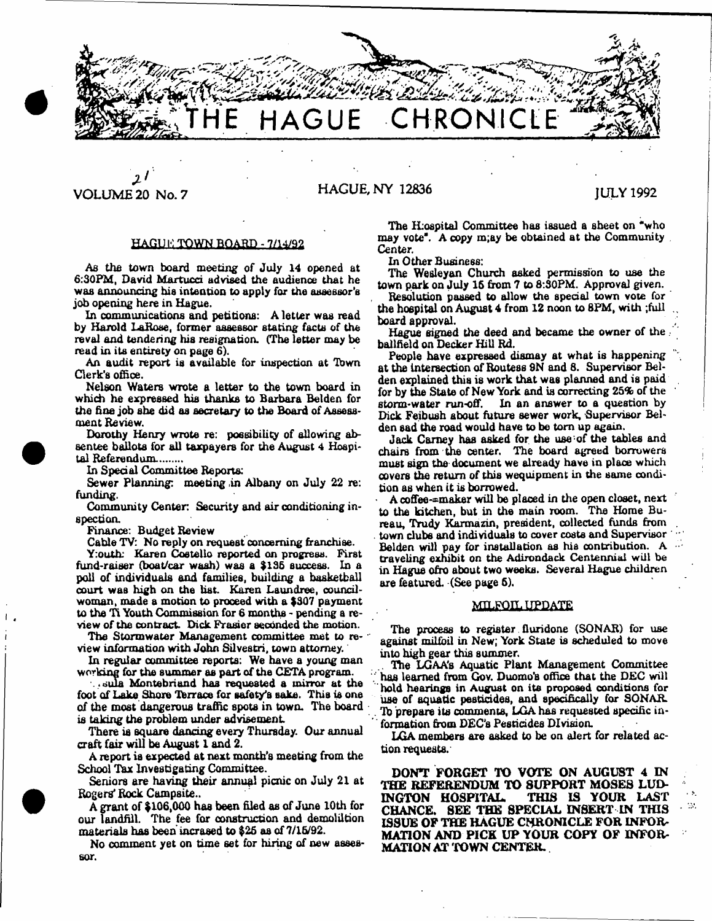

# *3 r* VOLUME 20 No. 7 HAGUE, NY 12836 JULY 1992

## **HAGLI !•: TOWN BOARD - 7/14/92**

**As the town board meeting of July 14 opened at** 6:30PM, David Martucci advised the audience that he **was announcing his intention to apply for the assessor's job opening here in Hague.**

**In communications and petitions: A letter was read by Harold laRoae, former assessor stating facts of the reval and tendering his resignation. (The letter may be mad in its entirety on page 6).**

**An audit report is available for inspection at Town Clerk's office.**

**Nelson Waters wrote a letter to the town board in which he expressed his thanks to Barbara Belden for the fine job she did as secretary to the Board of Assessment Review.**

**Dorothy Henry wrote re: possibility of allowing absentee ballots for all taxpayers for the August 4 Hospital Referendum.........**

**In Special Committee Reports:**

**Sewer Planning: meeting .in Albany on July 22 re: funding.**

**Community Center: Security and air conditioning inspection.**

**Finance: Budget Review**

**Cable TV: No reply on request concerning franchise.**

**Y:outh: Karen Costello reported on progress. First fund-raiser (boat/car wash) was a \$136 success. In a poll of individuals and families, building a basketball** court was high on the list. Karen Laundree, council**woman, made a motion to proceed with a \$307 payment to the Ti Youth Commission for 6 months - pending a review of the contract. Dick Frasier seconded the motion.**

**The Stormwater Management committee met to review information with John Silvestri, town attorney.**

**In regular committee reports: We have a young man working for the summer as part of the CETA program.**

**. .dula Montebriand has requested a mirror at the** foot of Lake Shore Terrace for safety's sake. This is one **of the most dangerous traffic spots in town. The board is taking the problem under advisement**

**There is square dancing every Thursday. Our annual craft fair will be August I and 2.**

**A report is expected at next month's meeting from the School Tax Investigating Committee.**

Seniors are having their annual picnic on July 21 at Rogers' Rock Campsite..

**A grant of \$106,000 has been filed as of June 10th for our landfill. The fee for construction and demolition materials has beehincrased to \$26 as of 7/16/92.**

**No comment yet on time set for hiring of new assessor.**

**The ILoapital Committee has issued a sheet on "who may vote". A copy m;ay be obtained at the Community Center.**

**In Other Business:**

**The Wesleyan Church asked permission to use the town park on July 16 from 7 to 8:S0PM. Approval given.**

**Resolution passed to allow the special town vote for the hospital on August 4 from 12 noon to 8FM, with ;fuil board approval.**

Hague signed the deed and became the owner of the **ballfteld on Decker Hill Rd.**

**People have expressed dismay at what is happening at the Intersection of Routess 9N and 8. Supervisor Belden explained this is work that was planned and is paid for by the State of New York and is correcting 25% of the** storm-water run-off. In an answer to a question by **Dick Feibush about future sewer work. Supervisor Belden sad the road would have to be tom up again.**

**Jack Carney has asked for the use-of the tables and chairs from the center. The board agreed borrowers must sign the document we already have in place which covers the return of this wequipment in the same condition as when it is borrowed.**

**- A coffee-^maker will be placed in the open closet, next to the kitchen, but in the main room. The Home Bureau, Trudy Karmazin, president, collected funds from town clubs and individuals to cover costs and Supervisor Belden will pay for installation as his contribution. A traveling exhibit on the Adirondack Centennial will be in Hague afro about two weeks. Several Hague children are featured. (See page 6).**

### MILFOIL UPDATE

**The process to register fluridone (SONAR)** for **use against** milfoil **in New; York State is scheduled** to move **into high gear this summer.**

**.. The LGAA's Aquatic Plant Management Committee** has learned from Gov. Duomo's office that the DEC will **hold hearings in August on its proposed conditions for use of aquatic pesticides, and specifically for SONAR. . Tb prepare its comments, LGA has requested specific information from DEC's Pesticides Division.**

**LGA members are asked to be on alert for related action requests.**

**DONT FORGET TO VOTE ON AUGUST 4 IN THE REFERENDUM TO SUPPORT MOSES LUD-INGTON HOSPITAL. CHANCE. SEE THE SPECIAL INSERT IN THIS ISSUE OF THE HAGUE CHRONICLE FOR INFOR-MATION AND PICK UP YOUR COPY OF INFOR-MATION AX TOWN CENTER.**

 $\sim$  $\mathcal{M}$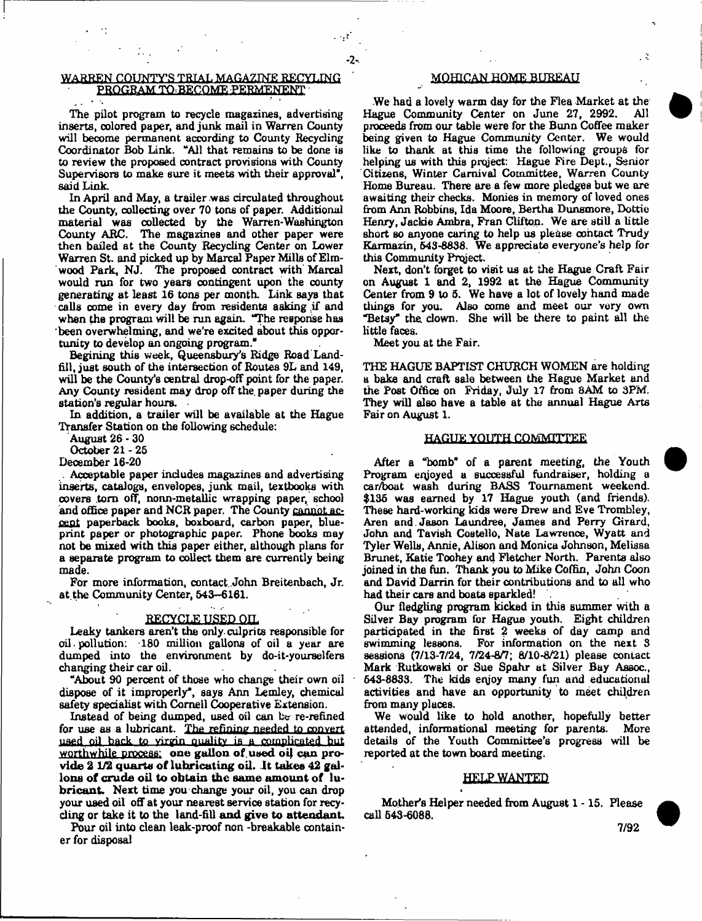## **WARREN COUNTY'S TRIAL MAGAZINE RECYLING PROGRAM TO=BECOME FERMENENT**

**The pilot program to recycle magazines, advertising inserts, colored paper, and junk mail in Warren County will become permanent according to County Recycling Coordinator Bob Link. "All that remains to be done ia to review the proposed contract provisions with County Supervisors to make sure it meets with their approval", said Link.**

**In April and May, a trailer was circulated throughout the County, collecting over 70 tons of paper. Additional material was collected by the Warren-Washington County ARC. The magazines and other paper were then bailed at the County Recycling Center on lower Warren St. and picked up by Marcal Paper Mills of Elmwood Park, NJ. The proposed contract with Marcal would run for two years contingent upon the county generating at least 16 tons per month. Link says that calls come in every day from residents asking if and when the program will be run again. "The response has been overwhelming, and we're ezcited about this opportunity to develop an ongoing program."**

**Begining this week, Queensbury's Ridge Road Landfill, just south of the intersection of Routes 9L and 149, will be the County's central drop-off point for the paper. Any County resident may drop off the. paper during the station's regular hours.**

**In addition, a trailer will be available at the Hague Transfer Station on the following schedule:**

**August 26 - 30**

**October 21-26**

**December 16-20**

**. Acceptable paper indudes magazines and advertising inserts, catalogs, envelopes, junk mail, textbooks with covers tom off, nonn-metallic wrapping paper, school and office paper and NCR paper. The County cannot accept paperback books, boxboard, carbon paper, blueprint paper or photographic paper. Phone books may not be mixed with this paper either, although plans for a separate program to collect them are currently being made.**

**For more information, contact. John Breitenbach, Jr. at the Community Center, 643-6161.**

# RECYCLE USED OIL

**Leaky tankers aren't the only, culprits responsible for oil • pollution: 180 million gallons of oil a year are dumped into the environment by do-it-yourselfere changing their car oil.**

**"About 90 percent of those who change their own oil dispose of it improperly", says Ann Lemley, chemical safety specialist with Cornell Cooperative Extension.**

**Instead of being dumped, used oil can be re-refined for use as a lubricant. The refining needed to convert used oil back to virgin duality is a complicated hut** worthwhile process: one gallon of used oil can provide 2 1/2 quarts of lubricating oil. It takes 42 gallons of crude oil to obtain the same amount of lu**bricant. Next time you change your oil, you can drop your used oil off at your nearest service station for recycling or take it to the l&nd-fiU and give to attendant.**

**Pour oil into clean leak-proof non -breakable container for disposal**

## ^ MOHICAN HQME BUREAU

÷

**We had a lovely warm day for the Flea Market at the** Hague Community Center on June 27, 2992. **proceeds from our table were for the Bunn Coffee maker being given to Hague Community Center. We would like to thank at this time the following groups for helping us with this project: Hague Fire Dept., Senior Citizens, Winter Carnival Committee, Warren County Home Bureau. There are a few more pledges but we are awaiting their checks. Monies in memory of loved ones from Ann Robbins, Ida Moore, Bertha Dunsmore, Dottie Henry, Jackie Ambra, Fran Clifton. We are still a little Bhort so anyone caring to help us please contact Trudy Karmazin, 643-8838. We appreciate everyone's help for this Community Project.**

**Next, don't forget to visit us at the Hague Craft Fair on August 1 and 2, 1992 at the Hague Community Center from 9 to 5. We have a lot of lovely hand made** things for you. Also come and meet our very own **"Betsy\* the. clown. She will be there to paint all the little faces.**

**Meet you at the Fair.**

**2**

**THE HAGUE BAPTIST CHURCH WOMEN are holding a bake and craft sale between the Hague Market and the Post Office on Friday, July 17 from SAM to 3PM. They will also have a table at the annual Hague Arts Fair on August 1.**

#### **HAGUE YOUTH COMMITTEE**

**After a "bomb" of a parent meeting, the Youth Program eqjoyed a successful fundraiser, holding a car/boat wash during BASS Tournament weekend. \$136 was earned by 17 Hague youth (and friends). These hard-working kids were Drew and Eve Trombley, Aren and. Jason Laundree, James and Perry Girard, John and Tavish Costello, Nate Lawrence, Wyatt and Tyler Wells, Annie, Alison and Monica Johnson, Melissa Brunet, Katie Toohey and Fletcher North. Parents also joined in the fun. Thank you to Mike Coffin, John Coon and David Darrin for their contributions and to all who had their cars and boats sparkled! .**

**Our fledgling program kicked in this summer with a Silver Bay program for Hague youth. Eight children participated in the first 2 weeks of day camp and swimming lessons. For information on the next 3 sessions (7/13-7/24, 7/24-8/7; 8/10-8/21) please contact Mark Rutkoweki or Sue Spahr at Silver Bay Assoc., 643-8833. The kids eqjoy many fun and educational activities and have an opportunity to meet children from many places.**

**We would like to hold another, hopefully better attended, informational meeting for parents. More details of the Youth Committee's progress will be reported at the town board meeting.**

#### **HELP WANTED**

**Mother's Helper needed from August 1 -15. Please call 643-6088.**

4

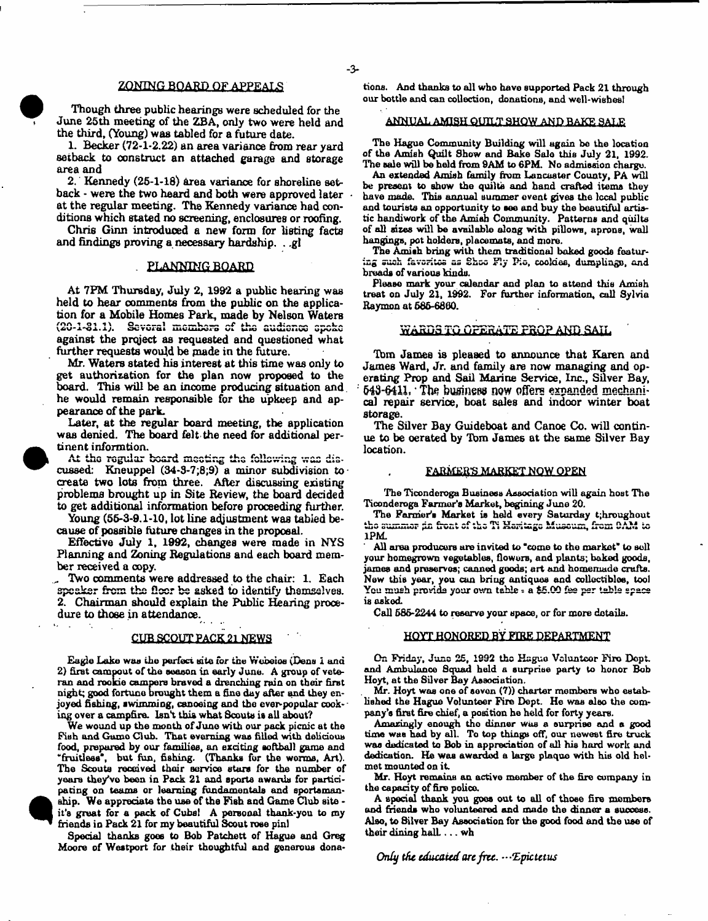## ZONING BOARD QF APPEALS

**Though three public hearings were scheduled for the June 25th meeting of the ZBA, only two were held and the third, (Young) was tabled for a future date.**

**1. Becker (72-1-2.22) an area variance from rear yard setback to construct an attached garage and storage area and**

**2. Kennedy (25-1-18) area variance for shoreline setback • were the two heard and both were approved later at the regular meeting. The Kennedy variance had conditions which stated no screening, enclosures or roofing.**

**Chris Ginn introduced a new form for listing facts and findings proving a necessary hardship. . ,gl**

#### . PLANNING BOARD

**At 7PM Thursday, July 2, 1992 a public hearing was held to hear comments from the public on the applica**tion for a Mobile Homes Park, made by Nelson Waters (20-1-81.1). Several members of the audience speke **against the prqject as requested and questioned what further requests would be made in the future.**

**Mr. Waters stated his interest at this time was only to get authorisation for the plan now proposed to the board. This will be an income producing situation and. he would remain responsible for the upkeep and appearance of the park.**

**Later, at the regular board meeting, the application was denied. The board felt the need for additional pertinent informtion.**

At the regular board meeting the following was dis**cussed; Kneuppel (34-3-7;8;9) a minor subdivision to create two lots from three. After discussing existing problems brought up in Site Review, the board decided to get additional information before proceeding further.**

Young (55-3-9.1-10, lot line adjustment was tabied be**cause of possible future changes in the proposal.**

**Effective July 1, 1992, changes were made in NYS Planning and Zoning Regulations and each board member received a copy.**

**.... Two oomments were addressed to the chair: 1. Each speaker from the fleer be asked to identify themselves. 2. Chairman should explain the Public Hearing procedure to those in attendance.**

#### **CUB SCOUT PACK 21 NEWS**

**Eagle Lake was the perfect site for the Webeios (Dean 1 ana 2) first cam pout of the season in early June. A group of veteran and rookie campers braved a drenching rain on their first night; good fortune brought them a fine day after and they enjoyed fishing, swimming, canoeing and the ever-popular cooking over a campfire. Isn't this what Scouts is all about?**

**We wound up the month of June with our pack picnic at the Pish and Game Club. That evening was filled with delicious food, prepared by our families, an exciting softball game and "fruitless", but fun, fishing. (Thanks for the worms, Art). The Scouts received their servioe store for the number of yaara the/vo been in Pack 21 and sports awards for participating on teams or learning fundamentals and sportsmanship. We appreciate the use of the Fish and Game Club site it's great for a pack of Cubs! A personal thank-you to my friends in Pack 21 for my beautiful Scout rose pin)**

**Special thanks goes to Bob Patchett of Hague and Greg Moore of Westport for their thoughtful and generous dona-**

**tions. And thanks to all who have supported Pack 21 through our bottle and can collection, donations, and well-wishesl**

## **ANNUAL AMISH QUILT SHOW** AND BAKE SALE

**The Hague Community Building will again be the location of the Amish Quilt Show and Bake Salo this July 21, 1992. The sale will be held from 9AM to 6PM. No admission charge.**

**An extended Amish family hum Lancaster County, PA will be present to show the quilts and hand crafted items they have made. This annual summer event gives the local public and tourists an opportunity to see and buy the beautiful artistic handiwork of the Amish Community. Patterns and quilts** of all sizes will be available along with pillows, aprons, wall **hangings, pot holders, place mats, and more.**

**The Amish bring with them traditional baked goods featuring suwh faVuriUn ua uhuu ?ljr"** Piu, **cookies, dumpling, end breads of various kinds.**

**Please mark your calendar and plan to attend this Amish treat on July 21, 1992. For further information, call Sylvia Raymon at 685-6860.**

## **WARDS TO OPERATE PROP AND SAIL**

**Tom James is pleased to announce that Karen and James Ward, Jr. and family are now managing and operating Prop and Sail Marine Service, Inc., Silver Bay, 543-fHU, \* The business now offers expanded mechanical repair service, boat sales and indoor winter boat storage.**

**The Silver Bay Guideboat and Canoe Co. will continue to be oerabed by Tbm James at the same Silver Bay location.**

#### **FARMERS MARKET NQW. OPEN**

**The Ticonderoga Business Association will again host The**

**Ticonderoga Fanner's Market, begining June 20.** The Farmer's Market is held every Saturday t;hroughout<br>the summer in front of the Ti Haritage Museum, from DAM to **1PM.**

**All area producers are invited to 'come to the market" to sell your homegrown vegetables, flowers, and plants; baked goods, jamea and preservos; canned goods; art and homemade crafts. New this year, you con bring antiques and collectibles, tool You mush provide your own table - a \$5.QQ fes per table space is asked.**

Call **585-2244** to reserve your space, or for more details.

## **HQYT HONORED BY FIRE DEPARTMENT**

**On Friday, June 25, 1992 the Hague Vcluntcor Fire Dopt. and Ambulance Squad held a surprise party to honor Bob Hoyt, at the Silver Bay Association.**

**Mr. Hoyt was one of aovon (7)) charter members who established the Hague Volunteer Fire Dept. He was also the company's first fire chief, a position he held for forty years.**

**Amazingly enough tho dinner was a surprise and a good time was had by all. To top things off, our newest fire truck was dedicated to Bob in appreciation of all his hard work and dedication. He was awarded a large plaque with his old helmet mounted on i t**

**Mr. Hoyt remains on active member of the fire company in the capacity of fire polico.**

**A special thank you goes out to all of those fire members and friends who volunteered and made the dinner a sueoess. Also, to Silver Bay Association for the good food and the use of** their dining hall . . . wh

*Only the educated are free. —'Epictetus*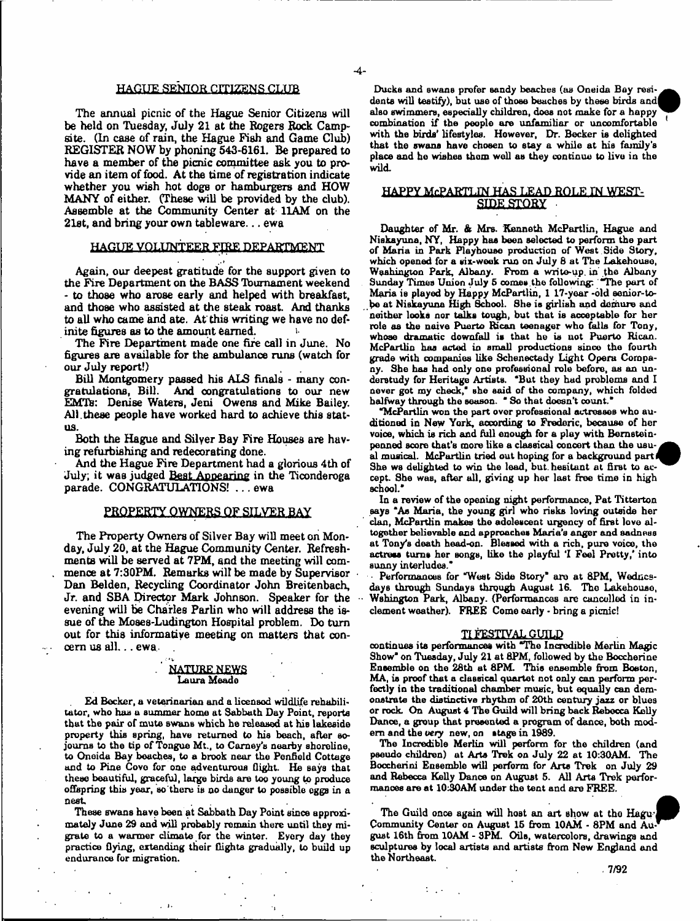## HAGUE SENIOR CITIZENS CLUB

**The annual picnic of the Hague Senior Citizens will be held on Tuesday, July 21 at the Rogers Rock Campsite. (In case of rain, the Hague Fish and Game Club) REGISTER NOW by phoning 543-6161. Be prepared to have a member of the picnic committee ask you to provide an item of food. At the time of registration indicate whether you wish hot doge or hamburgers and HOW MANY of either. (These will be provided by the dub). Assemble at the Community Center at 11AM on the 21st, and bring your own tableware... ewa**

# HAGUE VOLUNTEER FIRE DEPARTMENT

**Again, our deepest gratitude for the support given to the Fire Department on the BASS Ibumament weekend - to those who arose early and helped with breakfast, and those who assisted at the steak roast. And thanks to all who came and ate. At this writing we have no definite figures as to the amount earned. <**

**The Fire Department made one fife call in June. No figures are available for the ambulance runs (watch for our July report!)**

**Bill Montgomery passed his AIS finals - many congratulations, Bill. And oongratulations to our new EMTs:** Denise Waters, Jeni Owens and Mike Bailey. **All.these people have worked hard to achieve this status.**

**Both the Hague and Silver Bay Fire Houses are having refurbishing and redecorating done.**

**And the Hague Fire Department had a glorious 4th of July; it was judged Best Appearing in the Ticonderoga parade. CONGRATULATIONS! . . . ewa**

## **PROPERTY OWNERS OF SILVER BAY**

**The Property Owners of Silver Bay will meet on Monday, July 20, at the Hague Community Center. Refreshments will be served at 7PM, and the meeting will commence at 7:30PM. Remarks wilt be made by Supervisor Dan Belden, Recycling Coordinator John Breitenbach, Jr. and SBA Director Mark Johnson. Speaker for the evening will be Charles Parlin who will address the issue of the Moses-Ludington Hospital problem. Do turn out for this informative meeting on matters that concern us all.. . ewa .**

## **NATURE NEWS Laura Meade**

**Ed Becker, a veterinarian and a licensed wildlife rehabilitator, who has a summer home at Sabbath Day Point, reports that the pair** of **mute** bwudb **which he released at his lakeside property this spring, have returned to his beach, after sojourns to the tip of Tongue Mt., to Carney's nearby shoreline, to Oneida Bay boaches, to a brook near the Penfiold Cottage and to Pine Cove for one adventurous flight. He says that these beautiful, graceful, large birds are too young to produce offspring this year, so'there is no danger to possible eggs in a neat**

**These swans have been at Sabbath Day Point since approximately June 29 and will probably remain there until they migrate to a warmer climate for the winter. Eyery day they practice flying, extending their flights gradually, to build up endurance for migration.**

Ducks and swans prefer sandy beaches (as Oneida Bay residents will testify), but use of those beaches by these birds and **also swimmers, especially children, does not make for a happy combination if the people are unfamiliar or uncomfortable with the birds' lifestyles. However, Dr. Becker is delighted that the swans have chosen to stay a while at his family's place and he wishes them well as they continue to live in the wild.**

## **HAPPY McPARTLJN HAS LEAD ROLE IN WEST-**SIDE STORY

**Daughter of Mr. & Mrs. Kenneth McPartlin, Hague and** Niskayuna, NY, Happy has been selected to perform the part **of Maria in Park Playhouse production of West Side Story, which opened for a six-week run on July B at The Lakehouae, Washington Park, Albany. Prom a write-up. in the Albany Sunday Times Union July 6 comes.the following: "The part of Maria is played by Happy McPartlin, 1 17-year -old senior-tobe at NiBkayuna High School. She is girlish and demure and neither looks nor talks tough, but that is acceptable for her role as the naive Puerto Rican teenager who falls for Tony, whose dramatic downfall is that he is uot Puerto Rican. McPartlin has acted in small productions since the fourth grade with companies like Schenectady Light Opera Company. She has had only one professional role before, as an understudy for Heritage Artists. 'But they had problems and I never got my check," she said of the company, which folded halfway through the season. " So that doesn't count."**

**"McPartlin won the part over professional actresses who auditioned in New York, according to Frederic, because of her voice, which is rich and full enough for a play with Bernsteinpenned score that's more like a classical concert than the usu-^^k** al musical. McPartlin tried out hoping for a background part*i* **She ws delighted to win the lead, but. hesitant at first to accept. She was, after all, giving up her last free time in high school."**

**In a review of the opening night performance, Pat Titterton says 'As Maria, the young girl who risks loving outside her dan, McPartlin makes the adolescent urgency of first love altogether believable and approaches Maria's anger and sadness at Tony's death head-on. Blessed with a rich, pure voice, the actress turns her Bongs, like the playful 'I Feel Pretty/ into sunny interludes."**

Performances for "West Side Story" are at 8PM, Wednes**days through Sundays through August 16. The Lakehouae, Wshington Park, Albany. (Performances are cancelled in inclement weather). FREE Come early • bring a picnic!**

## **TI FESTIVAL GUILD**

**continues its performances with T he Incredible Merlin Magic Show" on Tuesday, July 21 at 8PM, followed by the Boccherine Ensemble on the 28th at 8PM. This ensemble from Boston, MA, is proof that a daasicol quartet not only can perform perfectly in the traditional chamber music, but equally can demonstrate the distinctive rhythm of 20th century jaxz or blues or rock. On August 4 The Guild will bring back Rebecca Kelly Dance, a group that presented a program of dance, both modem and the** *very* **new, on stage in 1989.**

**The Incredible Merlin will perform for the children (and pseudo children) at Arts Trek on July 22 at 10:30AM. The Boccherini Ensemble will perform for Arts Trek on July 29 and Rebecca Kelly Dance on August 5. All Arts Trek performances are at 10:30AM under the tent and are FREE.**

The Guild once again will host an art show at the Hagu-Community Center on August 15 from 10AM - 8PM and Au**gust 16th from 10AM - 3PM. Oils, watercolors, drawings and sculptures by local artists and artists from New England and the Northeast.**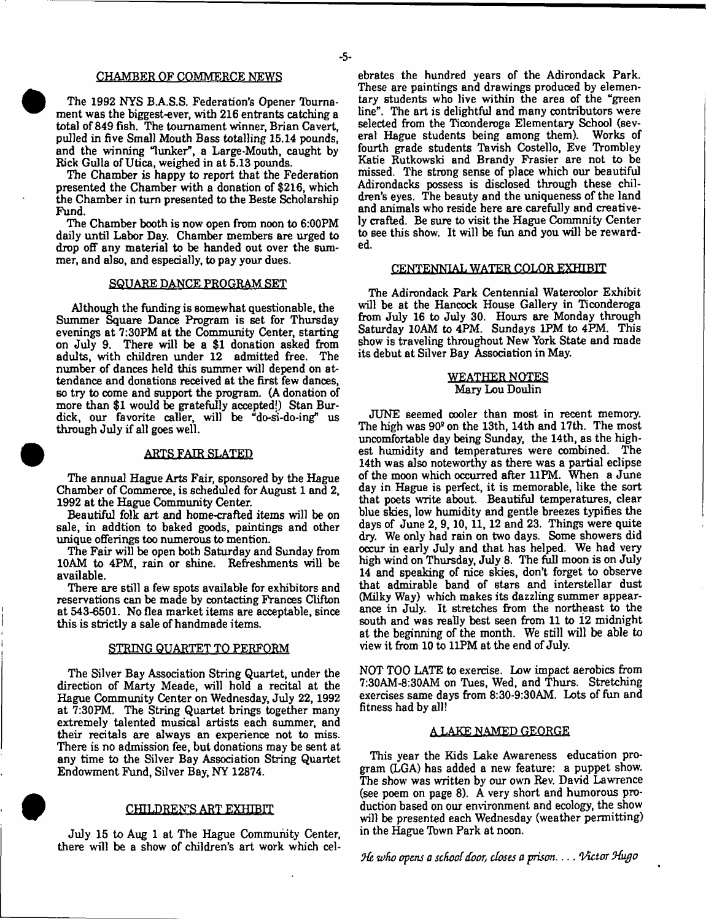#### **CHAMBER OF COMMERCE NEWS**

The 1992 NYS B.A.S.S. Federation's Opener Tourna**ment was the biggest-ever, with 216 entrants catching a total of 849 fish. The tournament winner, Brian Cavert, pulled in five Small Mouth Bass totalling 15.14 pounds,** and the winning "lunker", a Large-Mouth, caught by **Rick Gulla of Utica, weighed in at 5.13 pounds.**

**The Chamber is happy to report that the Federation presented the Chamber with a donation of \$216, which the Chamber in turn presented to the Beste Scholarship Fund.**

**The Chamber booth is now open from noon to 6:00PM daily until Labor Day. Chamber members are urged to drop off any material to be handed out over the summer, and also, and especially, to pay your dues.**

### **SQUARE DANCE PROGRAM SET**

**Although the funding is somewhat questionable, the Summer Square Dance Program is set for Thursday evenings at 7:30PM at the Community Center, starting on July 9. There will be a \$1 donation asked from adults, with children under 12 admitted free. The number of dances held this summer will depend on attendance and donations received at the first few dances, so try to come and support the program. (A donation of more than \$1 would be gratefully accepted!) Stan Burdick, our favorite caller, will be "do-si-do-ing" us through July if all goes well.**

### **ARTS FAIR SLATED**

**The annual Hague Arts Fair, sponsored by the Hague Chamber of Commerce, is scheduled for August 1 and 2, 1992 at the Hague Community Center.**

**Beautiful folk art and home-crafted items will be on sale, in addtion to baked goods, paintings and other unique offerings too numerous to mention.**

**The Fair will be open both Saturday and Sunday from 10AM to 4PM, rain or shine. Refreshments will be available.**

**There are still a few spots available for exhibitors and reservations can be made by contacting Frances Clifton at 543-6501. No flea market items are acceptable, since this is strictly a sale of handmade items.**

## **STRING QUARTET TO PERFORM**

**The Silver Bay Association String Quartet, under the direction of Marty Meade, will hold a recital at the Hague Community Center on Wednesday, July 22, 1992 at 7:30PM. The String Quartet brings together many extremely talented musical artists each summer, and their recitals are always an experience not to miss. There is no admission fee, but donations may be sent at any time to the Silver Bay Association String Quartet Endowment Fund, Silver Bay, NY 12874.**

## **CHILDREN'S ART EXHIBIT**

**July 15 to Aug 1 at The Hague Community Center, there will be a show of children's art work which cel-** **ebrates the hundred years of the Adirondack Park. These are paintings and drawings produced by elementary students who live within the area of the "green line". The art is delightful and many contributors were selected from the Ticonderoga Elementary School (several Hague students being among them). Works of fourth grade students Tavish Costello, Eve Trombley Katie Rutkowski and Brandy Frasier are not to be missed. The strong sense of place which our beautiful Adirondacks possess is disclosed through these children's eyes. The beauty and the uniqueness of the land and animals who reside here are carefully and creatively crafted. Be sure to visit the Hague Commnity Center to see this show. It will be fun and you will be rewarded.**

## **CENTENNIAL WATER COLOR EXHIBIT**

**The Adirondack Park Centennial Watercolor Exhibit will be at the Hancock House Gallery in Ticonderoga from July 16 to July 30. Hours are Monday through Saturday 10AM to 4PM. Sundays 1PM to 4PM. This show is traveling throughout New York State and made its debut at Silver Bay Association in May.**

### **WEATHER NOTES Mary Lou Doulin**

**JUNE seemed oooler than most in recent memory.** The high was  $90^{\circ}$  on the 13th, 14th and 17th. The most **uncomfortable day being Sunday, the 14th, as the highest humidity and temperatures were combined. The 14th was also noteworthy as there was a partial eclipse of the moon which occurred after 11FM. When a June day in Hague is perfect, it is memorable, like the sort that poets write about. Beautiful temperatures, clear blue skies, low humidity and gentle breezes typifies the days of June 2, 9,10,11,12 and 23. Things were quite dry. We only had rain on two days. Some showers did occur in early July and that has helped. We had very high wind on Thursday, July 8. The full moon is on July 14 and speaking of nice skies, don't forget to observe that admirable band of stars and interstellar dust (Milky Way) which makes its dazzling summer appearance in July. It stretches from the northeast to the south and was really best seen from 11 to 12 midnight at the beginning of the month. We still will be able to view it from 10 to 11PM at the end of July.**

**NOT TOO LATE to exercise. Low impact aerobics from 7:30AM-8:30AM on Tues, Wed, and Thurs. Stretching exercises same days from 8:30-9:30AM. Lots of fun and fitness had by all!**

#### **A LAKE NAMED GEORGE**

**This year the Kids Lake Awareness education program (LGA) has added a new feature: a puppet show. The show was written by our own Rev. David Lawrence (see poem on page 8). A very short and humorous production based on our environment and ecology, the show will be presented each Wednesday (weather permitting) in the Hague 'Ibwn Park at noon.**

*zofw opens a school door, closes a prison***------***Victor Hugo*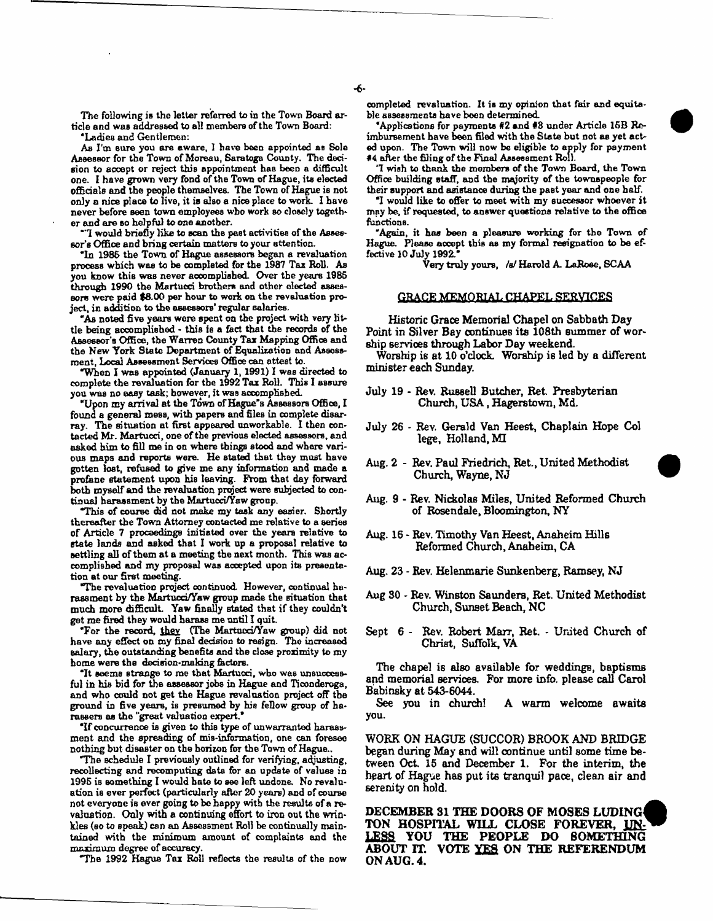**The following is the letter referred to in the Town Board article and waB addressed to all members of the Town Board: 'Ladies and Gentlemen:**

**As I'm sure you are aware, 1 have been appointed as Sole Assessor for the Town of Moreau, Saratoga County. The decision to accept or reject this appointment has been a difficult one. I have grown very fond of the Town of Hague, its elected officials and the people themselves. The Town of Hague is not only a nice place to live, it is also a nice place to work. I have never before seen town employees who work so closely together and are so helpful to one another.**

**"1 would briefly like to scan the past activities of the Assessor's Office and bring certain matters to your attention.**

**"In 1985 the Town of Hague assessors began a revaluation process which was to be completed for the 1987 Tax Roll. As you know this was never accomplished. Over the years 1985 through 1990 the Martucci brothers and other elected assessors were paid \$8.00 per hour to work on the revaluation project, in addition to the assessors' regular salaries.**

**"As noted five years were spent on the project with very little being accomplished - this** *ie* **a fact that the records of the Assessor's Office, the Warren County Tax Mapping Office and the Hew York State Department of Equalisation and Assessment, Local Assessment Services Office can attest to.**

**"When I was appointed (January 1,1991) I was directed to complete the revaluation for the 1992 Tax Roll. This I assure you was no easy task; however, it was accomplished.**

**"Upon my arrival at the Town of Hague's Assessors Office, I found a general mess, with papers and files in complete disarray. The situation at first appeared unworkable. I then contacted Mr. Martucci, one of the previous elected assessors, and asked him to fill me in on where things stood and where various maps and reports were. He stated that they most have gotten lost, refused to give me any information and made a profane statement upon his leaving. From that day forward both myself and the revaluation project were subjected to continual harassment by the Martucci/Yaw group.**

*T h is* **of course did not make my task any easier. Shortly thereaiter the Town Attorney contacted me relative to a series of Article 7 proceedings initiated over the years relative to state lands and asked that I work up a proposal relative to settling all of them at a meeting the next month. This was accomplished and my proposal was accepted upon its presentation at our first meeting.**

**"The revaluation project continued However, continual ha**rassment by the Martuod/Yaw group made the situation that **much more difficult Yaw finally stated that if they couldn't get me fired they would harass me until I quit.**

**"For the record, they (The Martuod/Yaw group) did not have any effect on my final decision to resign. The increased aalary, the outstanding benefits and the dose proximity to my home were the dedsion-znaking factors.**

**"It seems strange to me that Martucci, who was unsuccessful in his bid for the assessor jobs in Hague and Ticonderoga, and who could not get the Hague revaluation project off the ground in five years, is presumed by his fellow group of haraseers as the "great valuation expert.\***

**If concurrence is given to this type of unwarranted harass**ment and the spreading of mis-information, one can foresee **nothing but disaster on the horizon for the Town of Hague..**

**"The Bchedule I previously outlined for verifying, adjusting, recollecting and recomputing data for an update of values in 1995 is something I would hate to see left undone. Ho revaluation is ever perfect (particularly after 20 years) and of course not everyone** ib **ever going to be happy with the results of a revaluation. Only with a continuing effort to iron out the wrinkles (so to Bpeak) can an Assessment Roll be continually maintained with the minimum amount of complaints and the maximum degree of accuracy.**

**"Tbs 1992 Hague Tax Roll reflects the results of the now**

**completed revaluation. It is my opinion that fair and equitable assessments have been determined**

**"Applications for payments #2 and #8 under Article 15B Reimbursement have been filed with the State but not as yet acted upon. The Town will now be eligible to apply for payment #4 after the filing of the Final Assessment Roll.**

**'I wish to thank the members of the Town Board, the Town Office building staff, and the majority of the townspeople for their support and asistance during the past year and one half.**

**"I would like to offer to meet with my successor whoever it may be, if requested, to answer questions relative to the office functions.**

**"Again, it has been a pleasure working for the Town of** Hague. Please accept this as my formal resignation to be ef**fective 10 July 1992.\***

**Very truly yours, /a/ Harold A. LaRoae, SCAA**

#### **GRACE MEMORIAL CHAPEL SERVICES**

**Historic Grace Memorial Chapel on Sabbath Day Point in Silver Bay continues its 108th summer of worship services through Labor Day weekend.**

Worship is at 10 o'clock. Worship is led by a different **minister each Sunday.**

- **July 19 Rev. Russell Butcher, Ret Presbyterian** Church, USA, Hagerstown, Md.
- **July 26 Rey. Gerald Van Heest, Chaplain Hope Col lege, Holland, MI**
- **Aug. 2 Rev. Paul Friedrich, Ret., United Methodist Church, Wayne, NJ**
- **Aug. 9 Rev. Nicholas Miles, United Reformed Church of Rosendale, Bloomington, NY**
- **Aug. 16 Rev. Timothy Van Heest, Anaheim Hills Reformed Church, Anaheim, CA**
- **Aug. 23 Rev. Helenmarie Sunkenberg, Ramsey, NJ**
- **Aug 30 Rev. Winston Saunders, Ret. United Methodist Church, Sunset Beach, NC**
- **Sept 6 Rev. Robert Marr, Ret. United Church of Christ, Suffolk, VA**

The chapel is also available for weddings, baptisms **and memorial services. For more info, please call Carol Babinsky at 543-6044.**

**See you in church! A warm welcome awaits you.**

**WORK ON HAGUE (SUCCOR) BROOK AND BRIDGE began during May and will continue until some time between Oct 15 and December 1. For the interim, the heart of Hague has put its tranquil pace, clean air and serenity on hold.**

**DECEMBER 31 THE DOORS OF MOSES LUDING4 TON HOSPITAL WILL CLOSE FOREVER, UN-LESS YOU THE PEOPLE DO SOMETHING ABOUT IT. VOTE XES ON THE REFERENDUM ON AUG. 4.**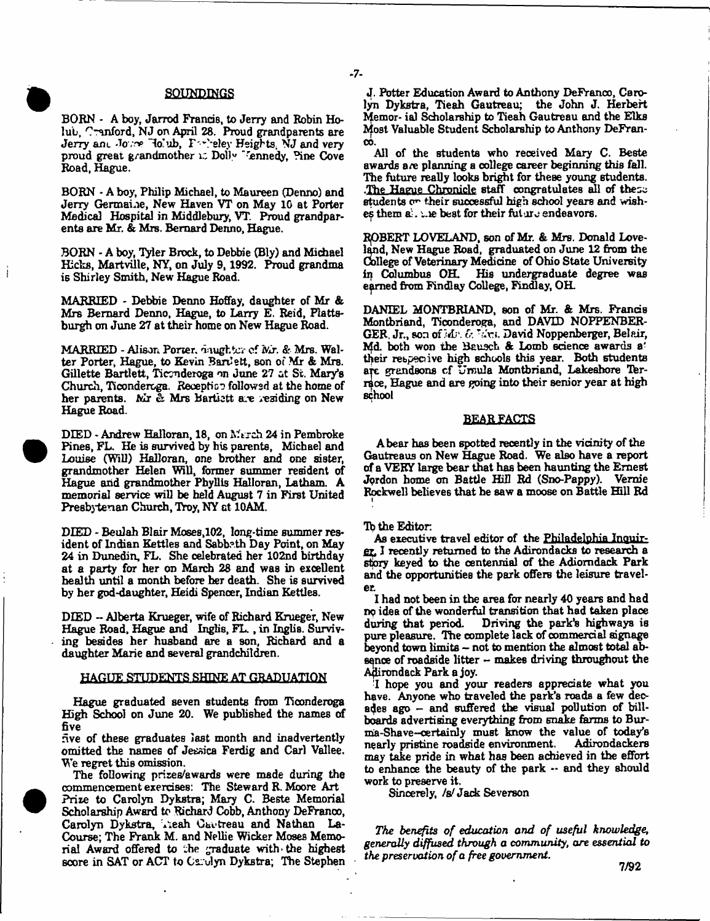## **SOUNDINGS**

**BORN - A boy, Jarred Francis, to Jerry and Robin Holub, r'~tinford, NJ on April 28. Proud grandparents are Jerry am. Jove Ho'ub, F** vireley Heights. NJ and very proud great grandmother if Dolly "<sup>r</sup>ennedy, Pine Cove **Road, Hague.**

**BORN - A boy, Philip Michael, to Maureen (Denno) and Jerry Germaine, New Haven VT on May 10 at Porter Medical Hospital in Middlebury, VT. Proud grandparents are Mr. & Mrs. Bernard Denno, Hague.**

**BORN - A boy, Tyler Brock, to Debbie (Bly) and Michael Hicks, Martville, NY, on July 9,1992. Proud grandma is Shirley Smith, New Hague Road.**

**MARRIED - Debbie Denno Hoffay, daughter of Mr & Mrs Bernard Denno, Hague, to Larry E. Reid, Plattsburgh on June 27 at their home on New Hague Road.**

MARRIED - Alison. **Porter, daughter** of **Mr.** *&* **Mrs. Walter Porter, Hague, to Kevin Bartfett, son of Mr & Mrs. Gillette Bartlett, Ticonderoga on June 27 at St. Mary's Church, Ticonderoga. Reception followed at the home of her parents. Mr & Mrs Bartlett are residing on New Hague Road.**

DIED - Andrew Halloran, 18, on March 24 in Pembroke **Pines, FL. He is survived by his parents, Michael and Louise (Will) Halloran, one brother and one sister, grandmother Helen Will, former summer resident of Hague and grandmother Phyllis Halloran, Latham. A memorial service will be held August 7 in First United Presbyterian Church, Troy, NY at 10AM.**

**DIED - Beulah Blair Moses,102, long-time summer resident of Indian Kettles and Sabbath Day Point, on May 24 in Dunedin, FL. She celebrated her 102nd birthday at a party for her on March 28 and was in excellent health until a month before her death. She is survived by her god-daughter, Heidi Spencer, Indian Kettles.**

**DEED - Alberta Krueger, wife of Richard Krueger, New Hague Road, Hague and Inglis, FL., in Inglis. Surviving besides her husband are a son, Richard and a daughter Marie and several grandchildren.**

#### **HAGUE STUDENTS SHINE AT GRADUATION**

**Hague graduated seven students from Ticonderoga High School on June 20. We published the names of five**

**five of these graduates last month and inadvertently omitted the names of Jessica Ferdig and Carl Vallee. We regret this omission.**

**The following prises/awards were made during the commencement exercises: The Steward R. Moore Art** Prize to Carolyn Dykstra; Mary C. Beste Memorial **Scholarship Award to Richard Cobb, Anthony DeFranco,** Carolyn Dykstra, Teah Gautreau and Nathan La-**Course; The Frank M. and Nellie Wicker Moses Memorial Award offered to the graduate with the highest score in SAT or ACT to Carolyn Dykstra; The Stephen** 

**J. Potter Education Award to Anthony DeFranco, Carolyn Dykstra, Tieah Gautreau; the John J, Herbert Memor- ial Scholarship to Tieah Gautreau and the Elks Most Valuable Student Scholarship to Anthony DeFranco.**

**All of the students who received Mary C. Beste awards are planning a college career beginning this fall. The future really looks bright for these young students. .The Hague Chronicle staff congratulates all of these** students on their successful high school years and wish $e$ s them  $\mathbf{a}$ . . e best for their future endeavors.

**RjOBERT LOVELAND, son of Mr. & Mrs. Donald Loveland, New Hague Road, graduated on June 12 from the College of Veterinary Medicine of Ohio State University ip Columbus OH. His undergraduate degree was earned from Findlay College, Findlay, OH.**

**DANIEL MONTBRIAND, son of Mr. & Mrs. Francis Montbriand, Ticonderoga, and DAVID NOPPENBER-GER. Jr., son of** *sAj\ O.* **T~V). David Noppenbeiger, Belair,** Md. both won the Bausch & Lomb science awards a<sup>2</sup> **their respective high schools this year. Both students** are grandsons of Ursula Montbriand, Lakeshore Ter**raoe, Hague and are going into their senior year at high school**

#### BEAR FACTS

**A bear has been spotted recently in the vicinity of the Gautreaus on New Hague Road. We also have a report of a VERY large bear that has been haunting the Ernest Jordon home on Battle Hill Rd (Sno-Pappy). Venue Rockwell believes that he saw a moose on Battle Hill Rd**

### **Tb the Editor**

 $-7-$ 

**As executive travel editor of the Philadelphia Inquirer:, I recently returned to the Adirondacks to research a story keyed to the centennial cf the Adiomdack Park and the opportunities the park offers the leisure traveler**

**I had not been in the area for nearly 40 years and had ng idea of the wonderful transition that had taken place Driving the park's highways is pure pleasure. The complete lack of commercial signage beyond town limits - not to mention the almost total absence of roadside litter - makes driving throughout the Adirondack Park a joy.**

**I hope you and your readers appreciate what you have. Anyone who traveled the park's roads a few decades ago - and suffered the visual pollution of billboards advertising everything from snake farms to Bur**ma-Shave-certainly must know the value of today's<br>nearly pristine roadside environment. Adirondackers nearly pristine roadside environment. **may take pride in what has been achieved in the effort to enhance the beauty of the park -- and they should work to preserve it.**

**Sincerely, /s; Jack Severson**

The benefits of education and of useful knowledge, *generally diffused through a community, are essential to the preservation of a free government.*